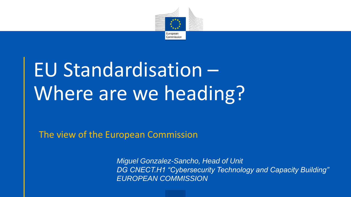

## EU Standardisation – Where are we heading?

The view of the European Commission

*Miguel Gonzalez-Sancho, Head of Unit DG CNECT.H1 "Cybersecurity Technology and Capacity Building" EUROPEAN COMMISSION*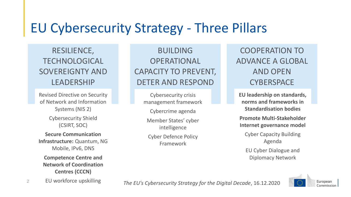## EU Cybersecurity Strategy - Three Pillars

RESILIENCE, TECHNOLOGICAL SOVEREIGNTY AND LEADERSHIP

Revised Directive on Security of Network and Information Systems (NIS 2) Cybersecurity Shield (CSIRT, SOC) **Secure Communication Infrastructure:** Quantum, NG Mobile, IPv6, DNS

**Competence Centre and Network of Coordination Centres (CCCN)**

EU workforce upskilling

BUILDING OPERATIONAL CAPACITY TO PREVENT, DETER AND RESPOND

Cybersecurity crisis management framework Cybercrime agenda Member States' cyber intelligence Cyber Defence Policy Framework

COOPERATION TO ADVANCE A GLOBAL AND OPEN **CYBERSPACE** 

**EU leadership on standards, norms and frameworks in Standardisation bodies Promote Multi-Stakeholder Internet governance model** Cyber Capacity Building Agenda EU Cyber Dialogue and Diplomacy Network



*The EU's Cybersecurity Strategy for the Digital Decade*, 16.12.2020 <sup>2</sup>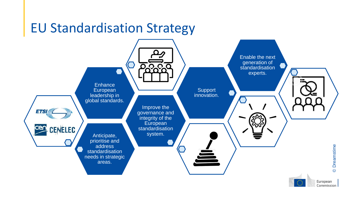## EU Standardisation Strategy



European Commission